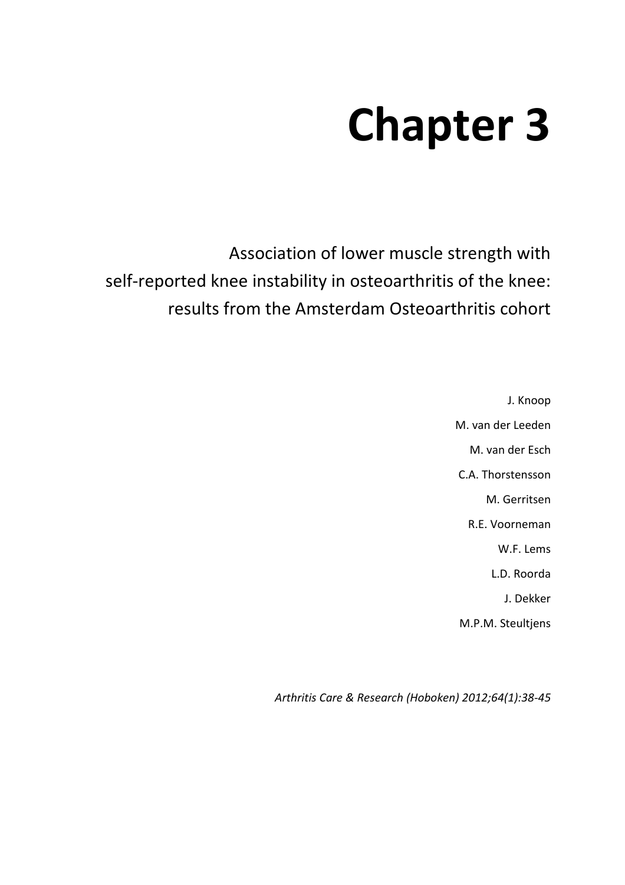# **Chapter 3**

Association of lower muscle strength with self-reported knee instability in osteoarthritis of the knee: results from the Amsterdam Osteoarthritis cohort

> J. Knoop M. van der Leeden M. van der Esch C.A. Thorstensson M. Gerritsen R.E. Voorneman W.F. Lems L.D. Roorda J. Dekker M.P.M. Steultjens

*Arthritis Care & Research (Hoboken) 2012;64(1):38-45*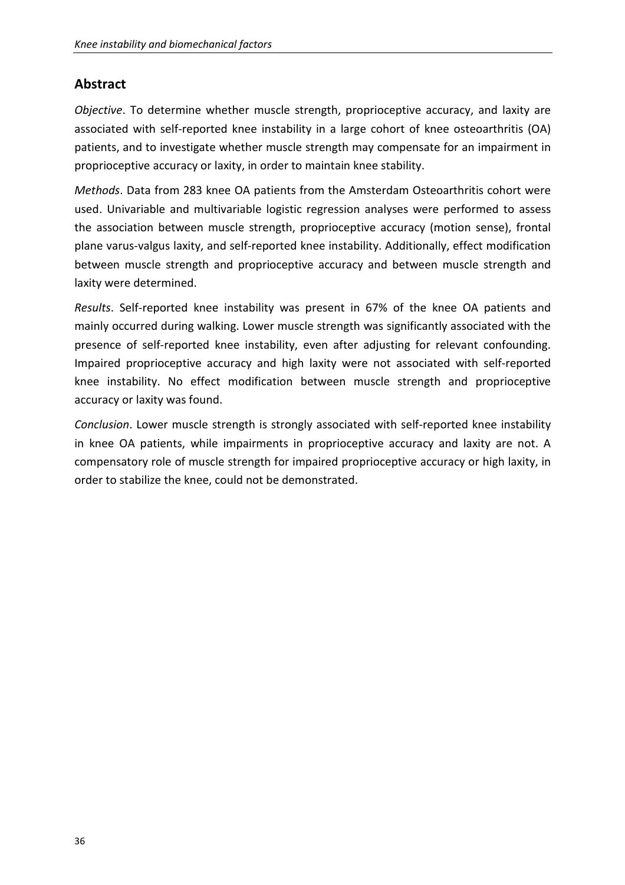## **Abstract**

*Objective*. To determine whether muscle strength, proprioceptive accuracy, and laxity are associated with self-reported knee instability in a large cohort of knee osteoarthritis (OA) patients, and to investigate whether muscle strength may compensate for an impairment in proprioceptive accuracy or laxity, in order to maintain knee stability.

*Methods*. Data from 283 knee OA patients from the Amsterdam Osteoarthritis cohort were used. Univariable and multivariable logistic regression analyses were performed to assess the association between muscle strength, proprioceptive accuracy (motion sense), frontal plane varus-valgus laxity, and self-reported knee instability. Additionally, effect modification between muscle strength and proprioceptive accuracy and between muscle strength and laxity were determined.

*Results*. Self-reported knee instability was present in 67% of the knee OA patients and mainly occurred during walking. Lower muscle strength was significantly associated with the presence of self-reported knee instability, even after adjusting for relevant confounding. Impaired proprioceptive accuracy and high laxity were not associated with self-reported knee instability. No effect modification between muscle strength and proprioceptive accuracy or laxity was found.

*Conclusion*. Lower muscle strength is strongly associated with self-reported knee instability in knee OA patients, while impairments in proprioceptive accuracy and laxity are not. A compensatory role of muscle strength for impaired proprioceptive accuracy or high laxity, in order to stabilize the knee, could not be demonstrated.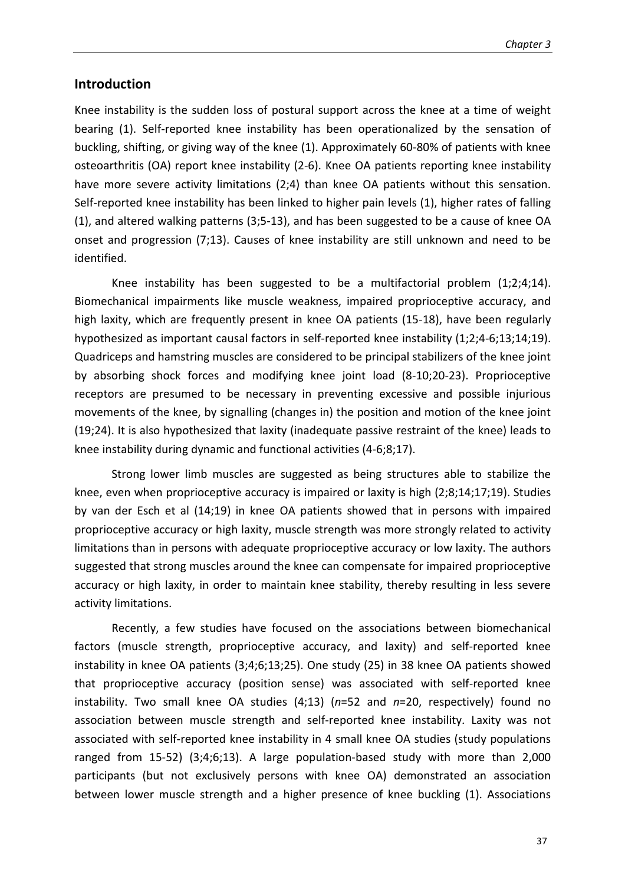#### **Introduction**

Knee instability is the sudden loss of postural support across the knee at a time of weight bearing (1). Self-reported knee instability has been operationalized by the sensation of buckling, shifting, or giving way of the knee (1). Approximately 60-80% of patients with knee osteoarthritis (OA) report knee instability (2-6). Knee OA patients reporting knee instability have more severe activity limitations (2;4) than knee OA patients without this sensation. Self-reported knee instability has been linked to higher pain levels (1), higher rates of falling (1), and altered walking patterns (3;5-13), and has been suggested to be a cause of knee OA onset and progression (7;13). Causes of knee instability are still unknown and need to be identified.

Knee instability has been suggested to be a multifactorial problem  $(1,2,4,14)$ . Biomechanical impairments like muscle weakness, impaired proprioceptive accuracy, and high laxity, which are frequently present in knee OA patients (15-18), have been regularly hypothesized as important causal factors in self-reported knee instability (1;2;4-6;13;14;19). Quadriceps and hamstring muscles are considered to be principal stabilizers of the knee joint by absorbing shock forces and modifying knee joint load (8-10;20-23). Proprioceptive receptors are presumed to be necessary in preventing excessive and possible injurious movements of the knee, by signalling (changes in) the position and motion of the knee joint (19;24). It is also hypothesized that laxity (inadequate passive restraint of the knee) leads to knee instability during dynamic and functional activities (4-6;8;17).

Strong lower limb muscles are suggested as being structures able to stabilize the knee, even when proprioceptive accuracy is impaired or laxity is high (2;8;14;17;19). Studies by van der Esch et al (14;19) in knee OA patients showed that in persons with impaired proprioceptive accuracy or high laxity, muscle strength was more strongly related to activity limitations than in persons with adequate proprioceptive accuracy or low laxity. The authors suggested that strong muscles around the knee can compensate for impaired proprioceptive accuracy or high laxity, in order to maintain knee stability, thereby resulting in less severe activity limitations.

Recently, a few studies have focused on the associations between biomechanical factors (muscle strength, proprioceptive accuracy, and laxity) and self-reported knee instability in knee OA patients (3;4;6;13;25). One study (25) in 38 knee OA patients showed that proprioceptive accuracy (position sense) was associated with self-reported knee instability. Two small knee OA studies (4;13) (*n*=52 and *n*=20, respectively) found no association between muscle strength and self-reported knee instability. Laxity was not associated with self-reported knee instability in 4 small knee OA studies (study populations ranged from 15-52) (3;4;6;13). A large population-based study with more than 2,000 participants (but not exclusively persons with knee OA) demonstrated an association between lower muscle strength and a higher presence of knee buckling (1). Associations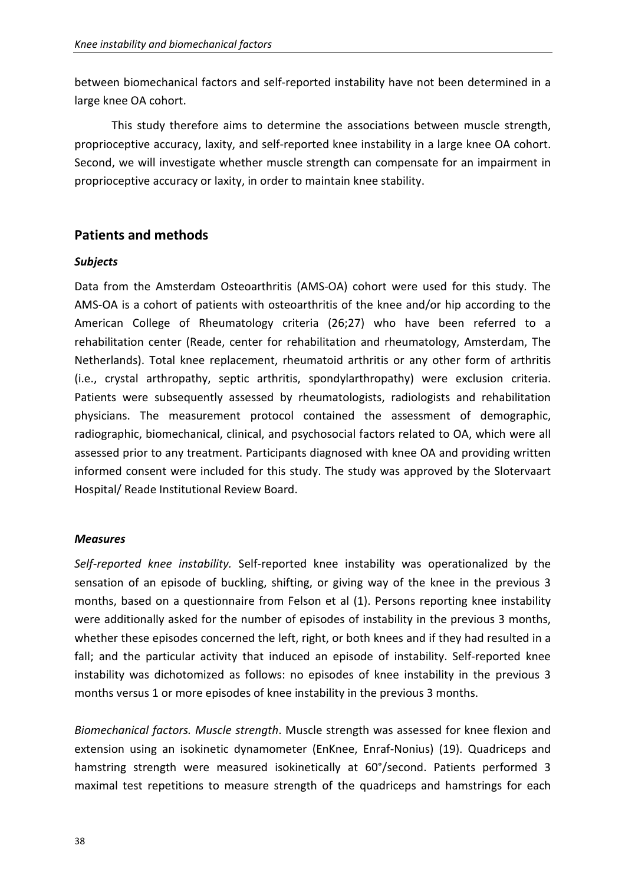between biomechanical factors and self-reported instability have not been determined in a large knee OA cohort.

This study therefore aims to determine the associations between muscle strength, proprioceptive accuracy, laxity, and self-reported knee instability in a large knee OA cohort. Second, we will investigate whether muscle strength can compensate for an impairment in proprioceptive accuracy or laxity, in order to maintain knee stability.

## **Patients and methods**

## *Subjects*

Data from the Amsterdam Osteoarthritis (AMS-OA) cohort were used for this study. The AMS-OA is a cohort of patients with osteoarthritis of the knee and/or hip according to the American College of Rheumatology criteria (26;27) who have been referred to a rehabilitation center (Reade, center for rehabilitation and rheumatology, Amsterdam, The Netherlands). Total knee replacement, rheumatoid arthritis or any other form of arthritis (i.e., crystal arthropathy, septic arthritis, spondylarthropathy) were exclusion criteria. Patients were subsequently assessed by rheumatologists, radiologists and rehabilitation physicians. The measurement protocol contained the assessment of demographic, radiographic, biomechanical, clinical, and psychosocial factors related to OA, which were all assessed prior to any treatment. Participants diagnosed with knee OA and providing written informed consent were included for this study. The study was approved by the Slotervaart Hospital/ Reade Institutional Review Board.

#### *Measures*

*Self-reported knee instability.* Self-reported knee instability was operationalized by the sensation of an episode of buckling, shifting, or giving way of the knee in the previous 3 months, based on a questionnaire from Felson et al (1). Persons reporting knee instability were additionally asked for the number of episodes of instability in the previous 3 months, whether these episodes concerned the left, right, or both knees and if they had resulted in a fall; and the particular activity that induced an episode of instability. Self-reported knee instability was dichotomized as follows: no episodes of knee instability in the previous 3 months versus 1 or more episodes of knee instability in the previous 3 months.

*Biomechanical factors. Muscle strength*. Muscle strength was assessed for knee flexion and extension using an isokinetic dynamometer (EnKnee, Enraf-Nonius) (19). Quadriceps and hamstring strength were measured isokinetically at 60°/second. Patients performed 3 maximal test repetitions to measure strength of the quadriceps and hamstrings for each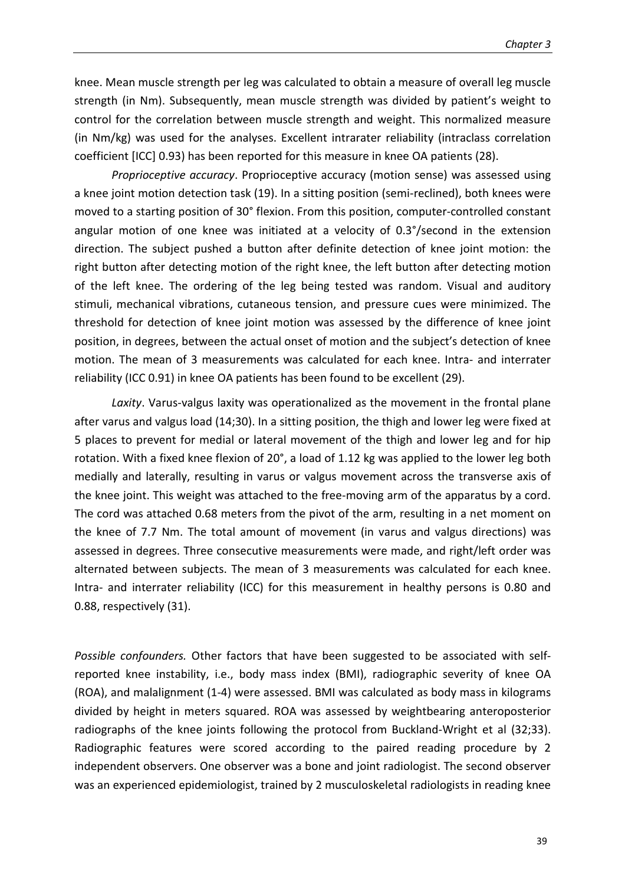knee. Mean muscle strength per leg was calculated to obtain a measure of overall leg muscle strength (in Nm). Subsequently, mean muscle strength was divided by patient's weight to control for the correlation between muscle strength and weight. This normalized measure (in Nm/kg) was used for the analyses. Excellent intrarater reliability (intraclass correlation coefficient [ICC] 0.93) has been reported for this measure in knee OA patients (28).

*Proprioceptive accuracy*. Proprioceptive accuracy (motion sense) was assessed using a knee joint motion detection task (19). In a sitting position (semi-reclined), both knees were moved to a starting position of 30° flexion. From this position, computer-controlled constant angular motion of one knee was initiated at a velocity of 0.3°/second in the extension direction. The subject pushed a button after definite detection of knee joint motion: the right button after detecting motion of the right knee, the left button after detecting motion of the left knee. The ordering of the leg being tested was random. Visual and auditory stimuli, mechanical vibrations, cutaneous tension, and pressure cues were minimized. The threshold for detection of knee joint motion was assessed by the difference of knee joint position, in degrees, between the actual onset of motion and the subject's detection of knee motion. The mean of 3 measurements was calculated for each knee. Intra- and interrater reliability (ICC 0.91) in knee OA patients has been found to be excellent (29).

*Laxity*. Varus-valgus laxity was operationalized as the movement in the frontal plane after varus and valgus load (14;30). In a sitting position, the thigh and lower leg were fixed at 5 places to prevent for medial or lateral movement of the thigh and lower leg and for hip rotation. With a fixed knee flexion of 20°, a load of 1.12 kg was applied to the lower leg both medially and laterally, resulting in varus or valgus movement across the transverse axis of the knee joint. This weight was attached to the free-moving arm of the apparatus by a cord. The cord was attached 0.68 meters from the pivot of the arm, resulting in a net moment on the knee of 7.7 Nm. The total amount of movement (in varus and valgus directions) was assessed in degrees. Three consecutive measurements were made, and right/left order was alternated between subjects. The mean of 3 measurements was calculated for each knee. Intra- and interrater reliability (ICC) for this measurement in healthy persons is 0.80 and 0.88, respectively (31).

*Possible confounders.* Other factors that have been suggested to be associated with selfreported knee instability, i.e., body mass index (BMI), radiographic severity of knee OA (ROA), and malalignment (1-4) were assessed. BMI was calculated as body mass in kilograms divided by height in meters squared. ROA was assessed by weightbearing anteroposterior radiographs of the knee joints following the protocol from Buckland-Wright et al (32;33). Radiographic features were scored according to the paired reading procedure by 2 independent observers. One observer was a bone and joint radiologist. The second observer was an experienced epidemiologist, trained by 2 musculoskeletal radiologists in reading knee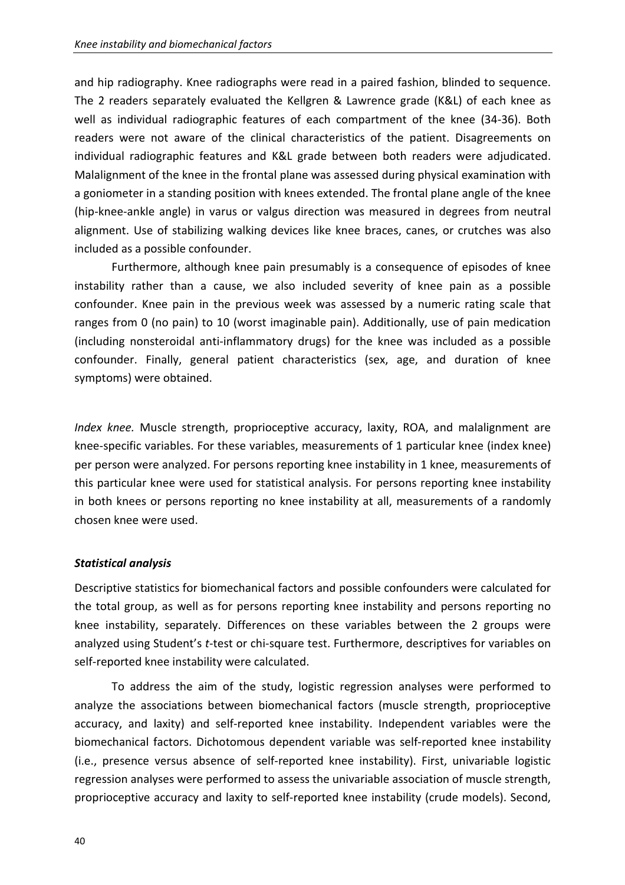and hip radiography. Knee radiographs were read in a paired fashion, blinded to sequence. The 2 readers separately evaluated the Kellgren & Lawrence grade (K&L) of each knee as well as individual radiographic features of each compartment of the knee (34-36). Both readers were not aware of the clinical characteristics of the patient. Disagreements on individual radiographic features and K&L grade between both readers were adjudicated. Malalignment of the knee in the frontal plane was assessed during physical examination with a goniometer in a standing position with knees extended. The frontal plane angle of the knee (hip-knee-ankle angle) in varus or valgus direction was measured in degrees from neutral alignment. Use of stabilizing walking devices like knee braces, canes, or crutches was also included as a possible confounder.

Furthermore, although knee pain presumably is a consequence of episodes of knee instability rather than a cause, we also included severity of knee pain as a possible confounder. Knee pain in the previous week was assessed by a numeric rating scale that ranges from 0 (no pain) to 10 (worst imaginable pain). Additionally, use of pain medication (including nonsteroidal anti-inflammatory drugs) for the knee was included as a possible confounder. Finally, general patient characteristics (sex, age, and duration of knee symptoms) were obtained.

*Index knee.* Muscle strength, proprioceptive accuracy, laxity, ROA, and malalignment are knee-specific variables. For these variables, measurements of 1 particular knee (index knee) per person were analyzed. For persons reporting knee instability in 1 knee, measurements of this particular knee were used for statistical analysis. For persons reporting knee instability in both knees or persons reporting no knee instability at all, measurements of a randomly chosen knee were used.

## *Statistical analysis*

Descriptive statistics for biomechanical factors and possible confounders were calculated for the total group, as well as for persons reporting knee instability and persons reporting no knee instability, separately. Differences on these variables between the 2 groups were analyzed using Student's *t*-test or chi-square test. Furthermore, descriptives for variables on self-reported knee instability were calculated.

To address the aim of the study, logistic regression analyses were performed to analyze the associations between biomechanical factors (muscle strength, proprioceptive accuracy, and laxity) and self-reported knee instability. Independent variables were the biomechanical factors. Dichotomous dependent variable was self-reported knee instability (i.e., presence versus absence of self-reported knee instability). First, univariable logistic regression analyses were performed to assess the univariable association of muscle strength, proprioceptive accuracy and laxity to self-reported knee instability (crude models). Second,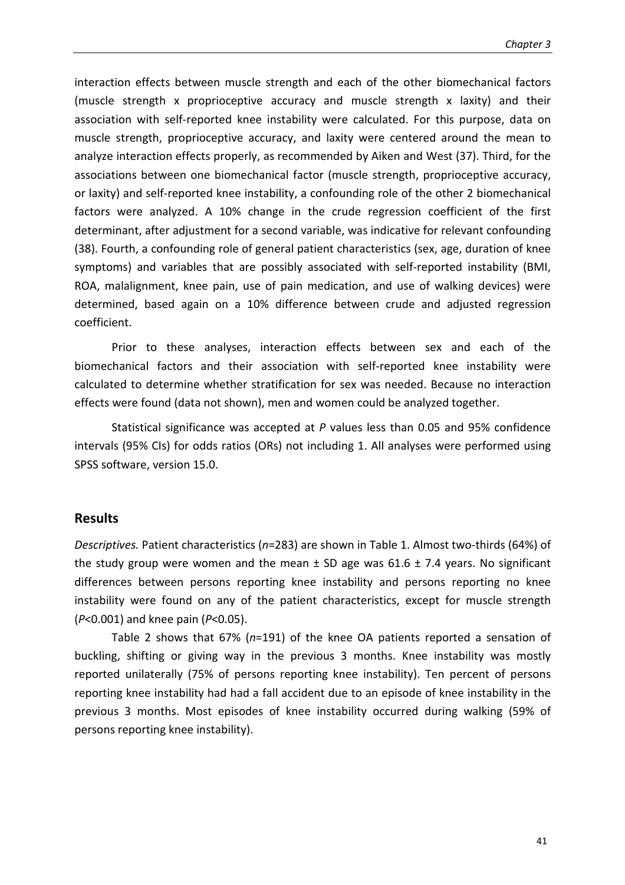interaction effects between muscle strength and each of the other biomechanical factors (muscle strength x proprioceptive accuracy and muscle strength x laxity) and their association with self-reported knee instability were calculated. For this purpose, data on muscle strength, proprioceptive accuracy, and laxity were centered around the mean to analyze interaction effects properly, as recommended by Aiken and West (37). Third, for the associations between one biomechanical factor (muscle strength, proprioceptive accuracy, or laxity) and self-reported knee instability, a confounding role of the other 2 biomechanical factors were analyzed. A 10% change in the crude regression coefficient of the first determinant, after adjustment for a second variable, was indicative for relevant confounding (38). Fourth, a confounding role of general patient characteristics (sex, age, duration of knee symptoms) and variables that are possibly associated with self-reported instability (BMI, ROA, malalignment, knee pain, use of pain medication, and use of walking devices) were determined, based again on a 10% difference between crude and adjusted regression coefficient.

Prior to these analyses, interaction effects between sex and each of the biomechanical factors and their association with self-reported knee instability were calculated to determine whether stratification for sex was needed. Because no interaction effects were found (data not shown), men and women could be analyzed together.

Statistical significance was accepted at *P* values less than 0.05 and 95% confidence intervals (95% CIs) for odds ratios (ORs) not including 1. All analyses were performed using SPSS software, version 15.0.

#### **Results**

*Descriptives.* Patient characteristics (*n*=283) are shown in Table 1. Almost two-thirds (64%) of the study group were women and the mean  $\pm$  SD age was 61.6  $\pm$  7.4 years. No significant differences between persons reporting knee instability and persons reporting no knee instability were found on any of the patient characteristics, except for muscle strength (*P*<0.001) and knee pain (*P*<0.05).

Table 2 shows that 67% (*n*=191) of the knee OA patients reported a sensation of buckling, shifting or giving way in the previous 3 months. Knee instability was mostly reported unilaterally (75% of persons reporting knee instability). Ten percent of persons reporting knee instability had had a fall accident due to an episode of knee instability in the previous 3 months. Most episodes of knee instability occurred during walking (59% of persons reporting knee instability).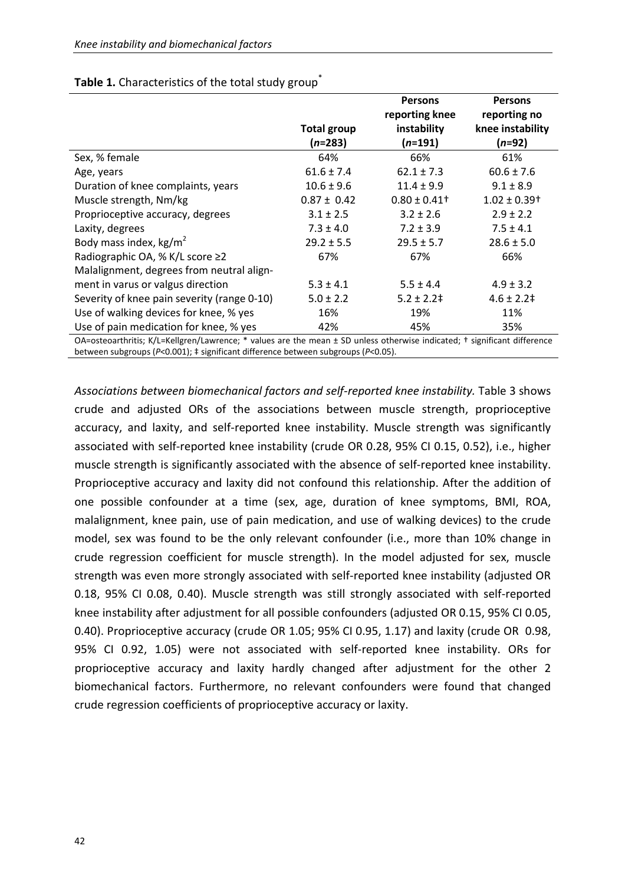|                                                                                                                                   |                                 | <b>Persons</b><br>reporting knee | <b>Persons</b><br>reporting no |  |  |  |
|-----------------------------------------------------------------------------------------------------------------------------------|---------------------------------|----------------------------------|--------------------------------|--|--|--|
|                                                                                                                                   | <b>Total group</b><br>$(n=283)$ | instability<br>$(n=191)$         | knee instability<br>$(n=92)$   |  |  |  |
| Sex, % female                                                                                                                     | 64%                             | 66%                              | 61%                            |  |  |  |
| Age, years                                                                                                                        | $61.6 \pm 7.4$                  | $62.1 \pm 7.3$                   | $60.6 \pm 7.6$                 |  |  |  |
| Duration of knee complaints, years                                                                                                | $10.6 \pm 9.6$                  | $11.4 \pm 9.9$                   | $9.1 \pm 8.9$                  |  |  |  |
| Muscle strength, Nm/kg                                                                                                            | $0.87 \pm 0.42$                 | $0.80 \pm 0.41$ <sup>+</sup>     | $1.02 \pm 0.39$ <sup>+</sup>   |  |  |  |
| Proprioceptive accuracy, degrees                                                                                                  | $3.1 \pm 2.5$                   | $3.2 \pm 2.6$                    | $2.9 \pm 2.2$                  |  |  |  |
| Laxity, degrees                                                                                                                   | $7.3 \pm 4.0$                   | $7.2 \pm 3.9$                    | $7.5 \pm 4.1$                  |  |  |  |
| Body mass index, $kg/m2$                                                                                                          | $29.2 \pm 5.5$                  | $29.5 \pm 5.7$                   | $28.6 \pm 5.0$                 |  |  |  |
| Radiographic OA, % K/L score ≥2                                                                                                   | 67%                             | 67%                              | 66%                            |  |  |  |
| Malalignment, degrees from neutral align-                                                                                         |                                 |                                  |                                |  |  |  |
| ment in varus or valgus direction                                                                                                 | $5.3 \pm 4.1$                   | $5.5 \pm 4.4$                    | $4.9 \pm 3.2$                  |  |  |  |
| Severity of knee pain severity (range 0-10)                                                                                       | $5.0 \pm 2.2$                   | $5.2 \pm 2.2^{\pm}$              | $4.6 \pm 2.2 \pm$              |  |  |  |
| Use of walking devices for knee, % yes                                                                                            | 16%                             | 19%                              | 11%                            |  |  |  |
| Use of pain medication for knee, % yes                                                                                            | 42%                             | 45%                              | 35%                            |  |  |  |
| $\Omega$ -osteoarthritis: K/I -Kellgren/Lawrence: * values are the mean + SD unless otherwise indicated: t significant difference |                                 |                                  |                                |  |  |  |

## Table 1. Characteristics of the total study group<sup>\*</sup>

OA=osteoarthritis; K/L=Kellgren/Lawrence; \* values are the mean ± SD unless otherwise indicated; † significant difference between subgroups (*P*<0.001); ‡ significant difference between subgroups (*P*<0.05).

*Associations between biomechanical factors and self-reported knee instability.* Table 3 shows crude and adjusted ORs of the associations between muscle strength, proprioceptive accuracy, and laxity, and self-reported knee instability. Muscle strength was significantly associated with self-reported knee instability (crude OR 0.28, 95% CI 0.15, 0.52), i.e., higher muscle strength is significantly associated with the absence of self-reported knee instability. Proprioceptive accuracy and laxity did not confound this relationship. After the addition of one possible confounder at a time (sex, age, duration of knee symptoms, BMI, ROA, malalignment, knee pain, use of pain medication, and use of walking devices) to the crude model, sex was found to be the only relevant confounder (i.e., more than 10% change in crude regression coefficient for muscle strength). In the model adjusted for sex, muscle strength was even more strongly associated with self-reported knee instability (adjusted OR 0.18, 95% CI 0.08, 0.40). Muscle strength was still strongly associated with self-reported knee instability after adjustment for all possible confounders (adjusted OR 0.15, 95% CI 0.05, 0.40). Proprioceptive accuracy (crude OR 1.05; 95% CI 0.95, 1.17) and laxity (crude OR 0.98, 95% CI 0.92, 1.05) were not associated with self-reported knee instability. ORs for proprioceptive accuracy and laxity hardly changed after adjustment for the other 2 biomechanical factors. Furthermore, no relevant confounders were found that changed crude regression coefficients of proprioceptive accuracy or laxity.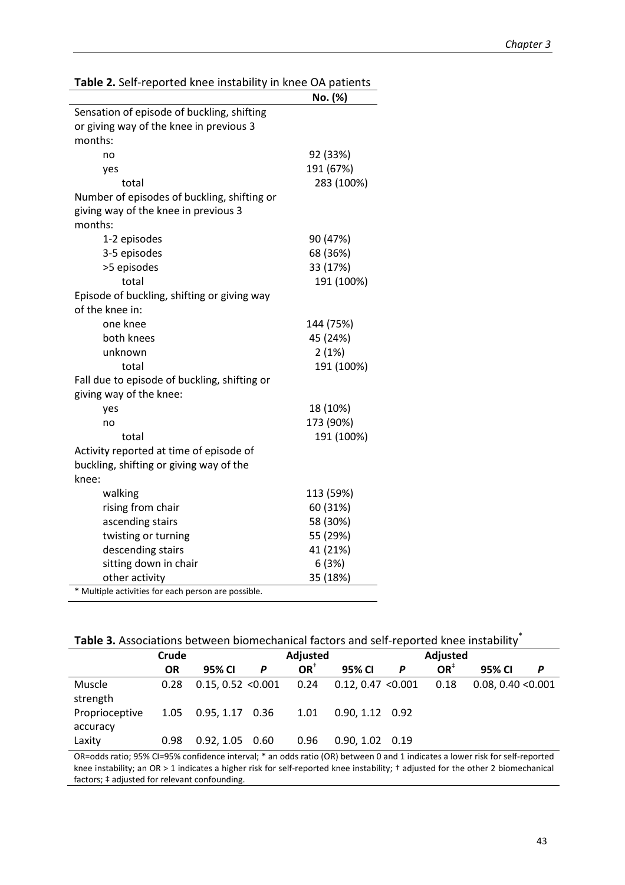|                                                     | No. (%)    |
|-----------------------------------------------------|------------|
| Sensation of episode of buckling, shifting          |            |
| or giving way of the knee in previous 3             |            |
| months:                                             |            |
| no                                                  | 92 (33%)   |
| yes                                                 | 191 (67%)  |
| total                                               | 283 (100%) |
| Number of episodes of buckling, shifting or         |            |
| giving way of the knee in previous 3                |            |
| months:                                             |            |
| 1-2 episodes                                        | 90 (47%)   |
| 3-5 episodes                                        | 68 (36%)   |
| >5 episodes                                         | 33 (17%)   |
| total                                               | 191 (100%) |
| Episode of buckling, shifting or giving way         |            |
| of the knee in:                                     |            |
| one knee                                            | 144 (75%)  |
| both knees                                          | 45 (24%)   |
| unknown                                             | 2(1%)      |
| total                                               | 191 (100%) |
| Fall due to episode of buckling, shifting or        |            |
| giving way of the knee:                             |            |
| yes                                                 | 18 (10%)   |
| no                                                  | 173 (90%)  |
| total                                               | 191 (100%) |
| Activity reported at time of episode of             |            |
| buckling, shifting or giving way of the             |            |
| knee:                                               |            |
| walking                                             | 113 (59%)  |
| rising from chair                                   | 60 (31%)   |
| ascending stairs                                    | 58 (30%)   |
| twisting or turning                                 | 55 (29%)   |
| descending stairs                                   | 41 (21%)   |
| sitting down in chair                               | 6(3%)      |
| other activity                                      | 35 (18%)   |
| * Multiple activities for each person are possible. |            |

**Table 2.** Self-reported knee instability in knee OA patients

| Table 3. Associations between biomechanical factors and self-reported knee instability |  |  |
|----------------------------------------------------------------------------------------|--|--|

|                            | Crude     |                    |   | Adjusted        |                    |   | Adjusted        |                    |   |
|----------------------------|-----------|--------------------|---|-----------------|--------------------|---|-----------------|--------------------|---|
|                            | <b>OR</b> | 95% CI             | P | OR <sup>1</sup> | 95% CI             | P | OR <sup>†</sup> | 95% CI             | Р |
| Muscle<br>strength         | 0.28      | 0.15, 0.52 < 0.001 |   | 0.24            | 0.12, 0.47 < 0.001 |   | 0.18            | 0.08, 0.40 < 0.001 |   |
| Proprioceptive<br>accuracy | 1.05      | $0.95, 1.17$ 0.36  |   | 1.01            | $0.90, 1.12$ 0.92  |   |                 |                    |   |
| Laxity                     | 0.98      | $0.92, 1.05$ 0.60  |   | 0.96            | $0.90, 1.02$ 0.19  |   |                 |                    |   |

OR=odds ratio; 95% CI=95% confidence interval; \* an odds ratio (OR) between 0 and 1 indicates a lower risk for self-reported knee instability; an OR > 1 indicates a higher risk for self-reported knee instability; † adjusted for the other 2 biomechanical factors; ‡ adjusted for relevant confounding.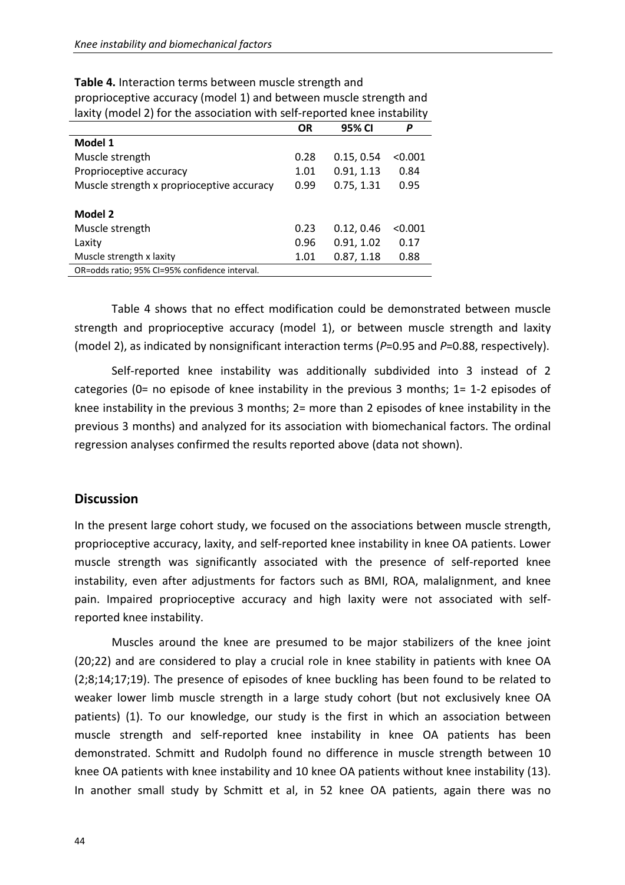|                                                | <b>OR</b> | 95% CI     | P       |
|------------------------------------------------|-----------|------------|---------|
| Model 1                                        |           |            |         |
| Muscle strength                                | 0.28      | 0.15, 0.54 | < 0.001 |
| Proprioceptive accuracy                        | 1.01      | 0.91, 1.13 | 0.84    |
| Muscle strength x proprioceptive accuracy      | 0.99      | 0.75, 1.31 | 0.95    |
|                                                |           |            |         |
| Model 2                                        |           |            |         |
| Muscle strength                                | 0.23      | 0.12, 0.46 | < 0.001 |
| Laxity                                         | 0.96      | 0.91, 1.02 | 0.17    |
| Muscle strength x laxity                       | 1.01      | 0.87, 1.18 | 0.88    |
| OR=odds ratio; 95% CI=95% confidence interval. |           |            |         |

**Table 4.** Interaction terms between muscle strength and proprioceptive accuracy (model 1) and between muscle strength and laxity (model 2) for the association with self-reported knee instability

Table 4 shows that no effect modification could be demonstrated between muscle strength and proprioceptive accuracy (model 1), or between muscle strength and laxity (model 2), as indicated by nonsignificant interaction terms (*P*=0.95 and *P*=0.88, respectively).

Self-reported knee instability was additionally subdivided into 3 instead of 2 categories (0= no episode of knee instability in the previous 3 months; 1= 1-2 episodes of knee instability in the previous 3 months; 2= more than 2 episodes of knee instability in the previous 3 months) and analyzed for its association with biomechanical factors. The ordinal regression analyses confirmed the results reported above (data not shown).

## **Discussion**

In the present large cohort study, we focused on the associations between muscle strength, proprioceptive accuracy, laxity, and self-reported knee instability in knee OA patients. Lower muscle strength was significantly associated with the presence of self-reported knee instability, even after adjustments for factors such as BMI, ROA, malalignment, and knee pain. Impaired proprioceptive accuracy and high laxity were not associated with selfreported knee instability.

Muscles around the knee are presumed to be major stabilizers of the knee joint (20;22) and are considered to play a crucial role in knee stability in patients with knee OA (2;8;14;17;19). The presence of episodes of knee buckling has been found to be related to weaker lower limb muscle strength in a large study cohort (but not exclusively knee OA patients) (1). To our knowledge, our study is the first in which an association between muscle strength and self-reported knee instability in knee OA patients has been demonstrated. Schmitt and Rudolph found no difference in muscle strength between 10 knee OA patients with knee instability and 10 knee OA patients without knee instability (13). In another small study by Schmitt et al, in 52 knee OA patients, again there was no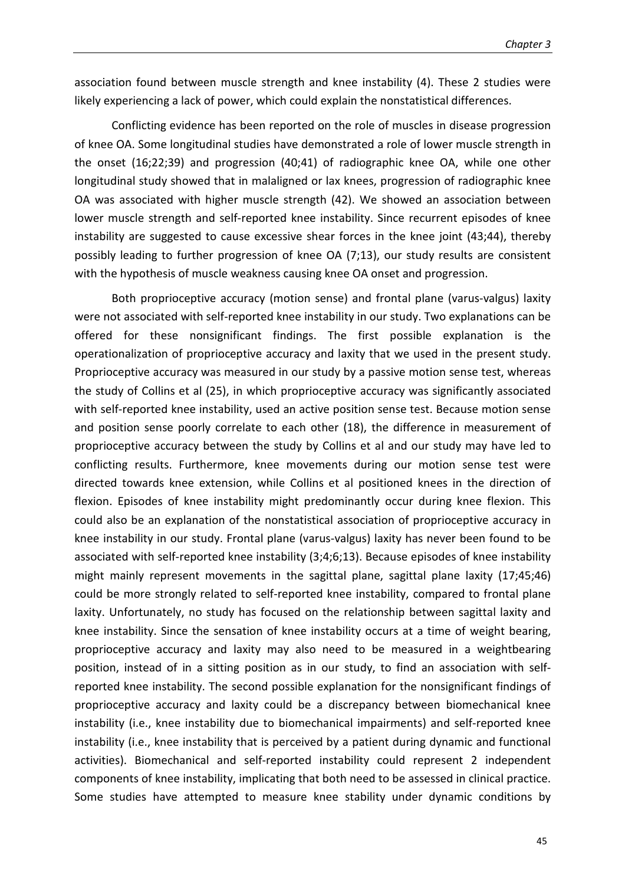association found between muscle strength and knee instability (4). These 2 studies were likely experiencing a lack of power, which could explain the nonstatistical differences.

Conflicting evidence has been reported on the role of muscles in disease progression of knee OA. Some longitudinal studies have demonstrated a role of lower muscle strength in the onset (16;22;39) and progression (40;41) of radiographic knee OA, while one other longitudinal study showed that in malaligned or lax knees, progression of radiographic knee OA was associated with higher muscle strength (42). We showed an association between lower muscle strength and self-reported knee instability. Since recurrent episodes of knee instability are suggested to cause excessive shear forces in the knee joint (43;44), thereby possibly leading to further progression of knee OA (7;13), our study results are consistent with the hypothesis of muscle weakness causing knee OA onset and progression.

Both proprioceptive accuracy (motion sense) and frontal plane (varus-valgus) laxity were not associated with self-reported knee instability in our study. Two explanations can be offered for these nonsignificant findings. The first possible explanation is the operationalization of proprioceptive accuracy and laxity that we used in the present study. Proprioceptive accuracy was measured in our study by a passive motion sense test, whereas the study of Collins et al (25), in which proprioceptive accuracy was significantly associated with self-reported knee instability, used an active position sense test. Because motion sense and position sense poorly correlate to each other (18), the difference in measurement of proprioceptive accuracy between the study by Collins et al and our study may have led to conflicting results. Furthermore, knee movements during our motion sense test were directed towards knee extension, while Collins et al positioned knees in the direction of flexion. Episodes of knee instability might predominantly occur during knee flexion. This could also be an explanation of the nonstatistical association of proprioceptive accuracy in knee instability in our study. Frontal plane (varus-valgus) laxity has never been found to be associated with self-reported knee instability (3;4;6;13). Because episodes of knee instability might mainly represent movements in the sagittal plane, sagittal plane laxity (17;45;46) could be more strongly related to self-reported knee instability, compared to frontal plane laxity. Unfortunately, no study has focused on the relationship between sagittal laxity and knee instability. Since the sensation of knee instability occurs at a time of weight bearing, proprioceptive accuracy and laxity may also need to be measured in a weightbearing position, instead of in a sitting position as in our study, to find an association with selfreported knee instability. The second possible explanation for the nonsignificant findings of proprioceptive accuracy and laxity could be a discrepancy between biomechanical knee instability (i.e., knee instability due to biomechanical impairments) and self-reported knee instability (i.e., knee instability that is perceived by a patient during dynamic and functional activities). Biomechanical and self-reported instability could represent 2 independent components of knee instability, implicating that both need to be assessed in clinical practice. Some studies have attempted to measure knee stability under dynamic conditions by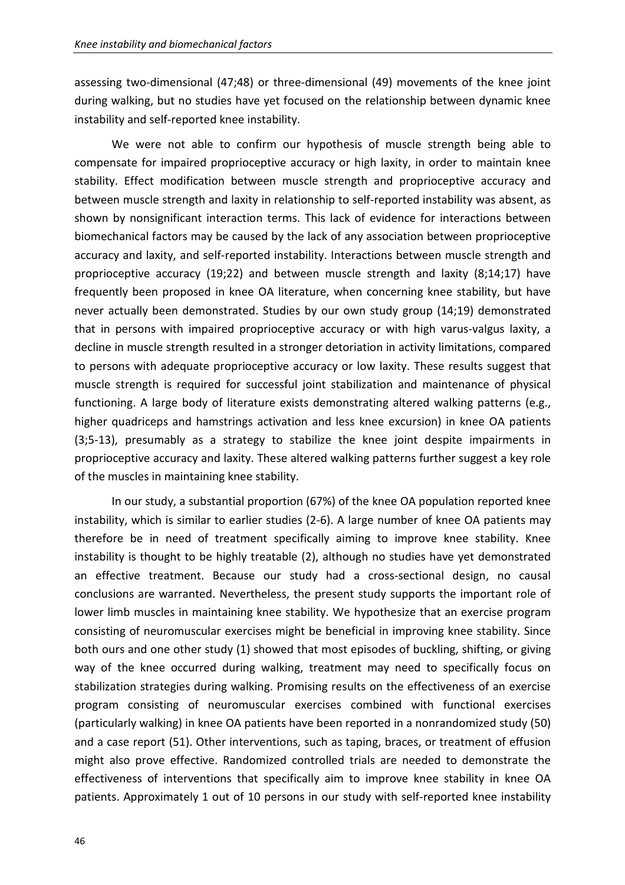assessing two-dimensional (47;48) or three-dimensional (49) movements of the knee joint during walking, but no studies have yet focused on the relationship between dynamic knee instability and self-reported knee instability.

We were not able to confirm our hypothesis of muscle strength being able to compensate for impaired proprioceptive accuracy or high laxity, in order to maintain knee stability. Effect modification between muscle strength and proprioceptive accuracy and between muscle strength and laxity in relationship to self-reported instability was absent, as shown by nonsignificant interaction terms. This lack of evidence for interactions between biomechanical factors may be caused by the lack of any association between proprioceptive accuracy and laxity, and self-reported instability. Interactions between muscle strength and proprioceptive accuracy (19;22) and between muscle strength and laxity (8;14;17) have frequently been proposed in knee OA literature, when concerning knee stability, but have never actually been demonstrated. Studies by our own study group (14;19) demonstrated that in persons with impaired proprioceptive accuracy or with high varus-valgus laxity, a decline in muscle strength resulted in a stronger detoriation in activity limitations, compared to persons with adequate proprioceptive accuracy or low laxity. These results suggest that muscle strength is required for successful joint stabilization and maintenance of physical functioning. A large body of literature exists demonstrating altered walking patterns (e.g., higher quadriceps and hamstrings activation and less knee excursion) in knee OA patients (3;5-13), presumably as a strategy to stabilize the knee joint despite impairments in proprioceptive accuracy and laxity. These altered walking patterns further suggest a key role of the muscles in maintaining knee stability.

 In our study, a substantial proportion (67%) of the knee OA population reported knee instability, which is similar to earlier studies (2-6). A large number of knee OA patients may therefore be in need of treatment specifically aiming to improve knee stability. Knee instability is thought to be highly treatable (2), although no studies have yet demonstrated an effective treatment. Because our study had a cross-sectional design, no causal conclusions are warranted. Nevertheless, the present study supports the important role of lower limb muscles in maintaining knee stability. We hypothesize that an exercise program consisting of neuromuscular exercises might be beneficial in improving knee stability. Since both ours and one other study (1) showed that most episodes of buckling, shifting, or giving way of the knee occurred during walking, treatment may need to specifically focus on stabilization strategies during walking. Promising results on the effectiveness of an exercise program consisting of neuromuscular exercises combined with functional exercises (particularly walking) in knee OA patients have been reported in a nonrandomized study (50) and a case report (51). Other interventions, such as taping, braces, or treatment of effusion might also prove effective. Randomized controlled trials are needed to demonstrate the effectiveness of interventions that specifically aim to improve knee stability in knee OA patients. Approximately 1 out of 10 persons in our study with self-reported knee instability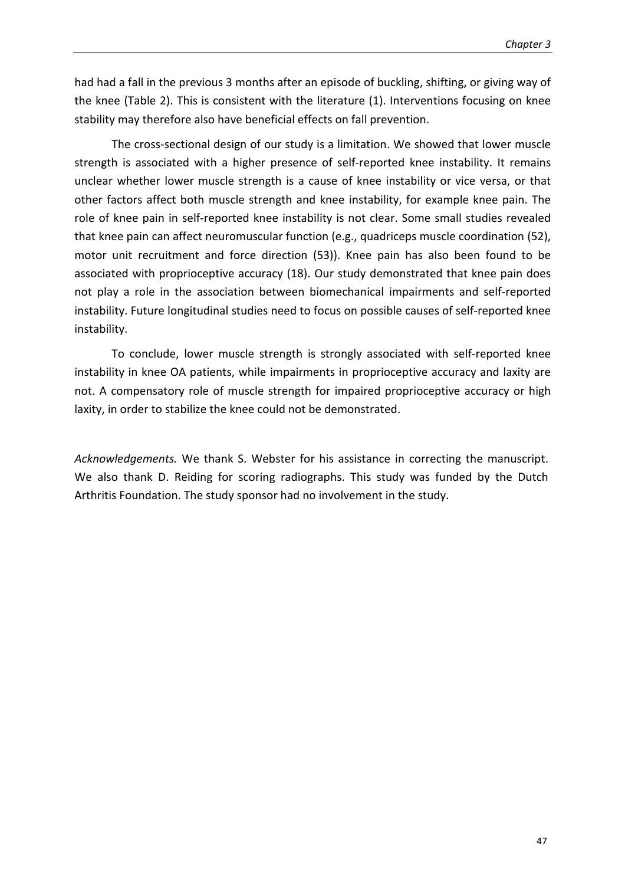had had a fall in the previous 3 months after an episode of buckling, shifting, or giving way of the knee (Table 2). This is consistent with the literature (1). Interventions focusing on knee stability may therefore also have beneficial effects on fall prevention.

The cross-sectional design of our study is a limitation. We showed that lower muscle strength is associated with a higher presence of self-reported knee instability. It remains unclear whether lower muscle strength is a cause of knee instability or vice versa, or that other factors affect both muscle strength and knee instability, for example knee pain. The role of knee pain in self-reported knee instability is not clear. Some small studies revealed that knee pain can affect neuromuscular function (e.g., quadriceps muscle coordination (52), motor unit recruitment and force direction (53)). Knee pain has also been found to be associated with proprioceptive accuracy (18). Our study demonstrated that knee pain does not play a role in the association between biomechanical impairments and self-reported instability. Future longitudinal studies need to focus on possible causes of self-reported knee instability.

To conclude, lower muscle strength is strongly associated with self-reported knee instability in knee OA patients, while impairments in proprioceptive accuracy and laxity are not. A compensatory role of muscle strength for impaired proprioceptive accuracy or high laxity, in order to stabilize the knee could not be demonstrated.

*Acknowledgements.* We thank S. Webster for his assistance in correcting the manuscript. We also thank D. Reiding for scoring radiographs. This study was funded by the Dutch Arthritis Foundation. The study sponsor had no involvement in the study.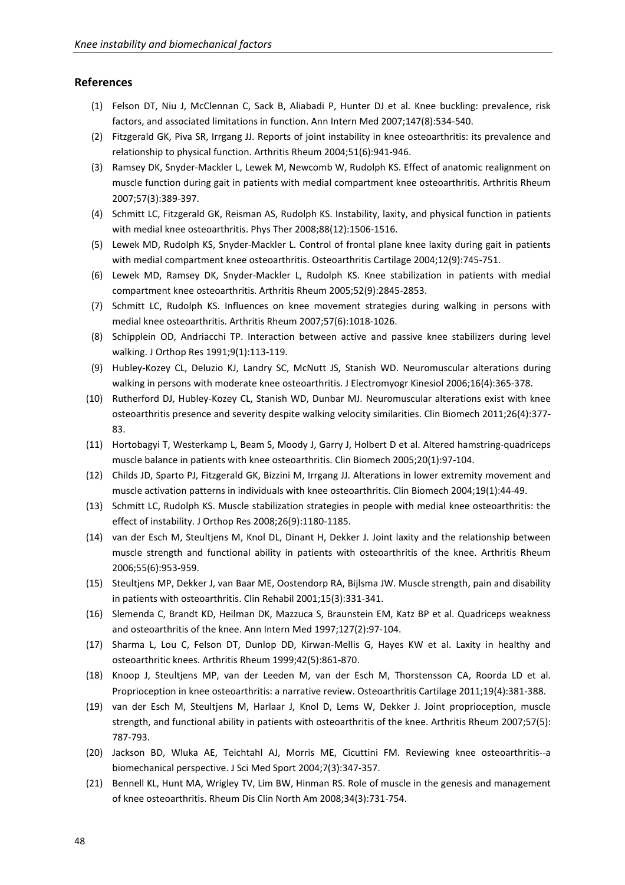#### **References**

- (1) Felson DT, Niu J, McClennan C, Sack B, Aliabadi P, Hunter DJ et al. Knee buckling: prevalence, risk factors, and associated limitations in function. Ann Intern Med 2007;147(8):534-540.
- (2) Fitzgerald GK, Piva SR, Irrgang JJ. Reports of joint instability in knee osteoarthritis: its prevalence and relationship to physical function. Arthritis Rheum 2004;51(6):941-946.
- (3) Ramsey DK, Snyder-Mackler L, Lewek M, Newcomb W, Rudolph KS. Effect of anatomic realignment on muscle function during gait in patients with medial compartment knee osteoarthritis. Arthritis Rheum 2007;57(3):389-397.
- (4) Schmitt LC, Fitzgerald GK, Reisman AS, Rudolph KS. Instability, laxity, and physical function in patients with medial knee osteoarthritis. Phys Ther 2008;88(12):1506-1516.
- (5) Lewek MD, Rudolph KS, Snyder-Mackler L. Control of frontal plane knee laxity during gait in patients with medial compartment knee osteoarthritis. Osteoarthritis Cartilage 2004;12(9):745-751.
- (6) Lewek MD, Ramsey DK, Snyder-Mackler L, Rudolph KS. Knee stabilization in patients with medial compartment knee osteoarthritis. Arthritis Rheum 2005;52(9):2845-2853.
- (7) Schmitt LC, Rudolph KS. Influences on knee movement strategies during walking in persons with medial knee osteoarthritis. Arthritis Rheum 2007;57(6):1018-1026.
- (8) Schipplein OD, Andriacchi TP. Interaction between active and passive knee stabilizers during level walking. J Orthop Res 1991;9(1):113-119.
- (9) Hubley-Kozey CL, Deluzio KJ, Landry SC, McNutt JS, Stanish WD. Neuromuscular alterations during walking in persons with moderate knee osteoarthritis. J Electromyogr Kinesiol 2006;16(4):365-378.
- (10) Rutherford DJ, Hubley-Kozey CL, Stanish WD, Dunbar MJ. Neuromuscular alterations exist with knee osteoarthritis presence and severity despite walking velocity similarities. Clin Biomech 2011;26(4):377- 83.
- (11) Hortobagyi T, Westerkamp L, Beam S, Moody J, Garry J, Holbert D et al. Altered hamstring-quadriceps muscle balance in patients with knee osteoarthritis. Clin Biomech 2005;20(1):97-104.
- (12) Childs JD, Sparto PJ, Fitzgerald GK, Bizzini M, Irrgang JJ. Alterations in lower extremity movement and muscle activation patterns in individuals with knee osteoarthritis. Clin Biomech 2004;19(1):44-49.
- (13) Schmitt LC, Rudolph KS. Muscle stabilization strategies in people with medial knee osteoarthritis: the effect of instability. J Orthop Res 2008;26(9):1180-1185.
- (14) van der Esch M, Steultjens M, Knol DL, Dinant H, Dekker J. Joint laxity and the relationship between muscle strength and functional ability in patients with osteoarthritis of the knee. Arthritis Rheum 2006;55(6):953-959.
- (15) Steultjens MP, Dekker J, van Baar ME, Oostendorp RA, Bijlsma JW. Muscle strength, pain and disability in patients with osteoarthritis. Clin Rehabil 2001;15(3):331-341.
- (16) Slemenda C, Brandt KD, Heilman DK, Mazzuca S, Braunstein EM, Katz BP et al. Quadriceps weakness and osteoarthritis of the knee. Ann Intern Med 1997;127(2):97-104.
- (17) Sharma L, Lou C, Felson DT, Dunlop DD, Kirwan-Mellis G, Hayes KW et al. Laxity in healthy and osteoarthritic knees. Arthritis Rheum 1999;42(5):861-870.
- (18) Knoop J, Steultjens MP, van der Leeden M, van der Esch M, Thorstensson CA, Roorda LD et al. Proprioception in knee osteoarthritis: a narrative review. Osteoarthritis Cartilage 2011;19(4):381-388.
- (19) van der Esch M, Steultjens M, Harlaar J, Knol D, Lems W, Dekker J. Joint proprioception, muscle strength, and functional ability in patients with osteoarthritis of the knee. Arthritis Rheum 2007;57(5): 787-793.
- (20) Jackson BD, Wluka AE, Teichtahl AJ, Morris ME, Cicuttini FM. Reviewing knee osteoarthritis--a biomechanical perspective. J Sci Med Sport 2004;7(3):347-357.
- (21) Bennell KL, Hunt MA, Wrigley TV, Lim BW, Hinman RS. Role of muscle in the genesis and management of knee osteoarthritis. Rheum Dis Clin North Am 2008;34(3):731-754.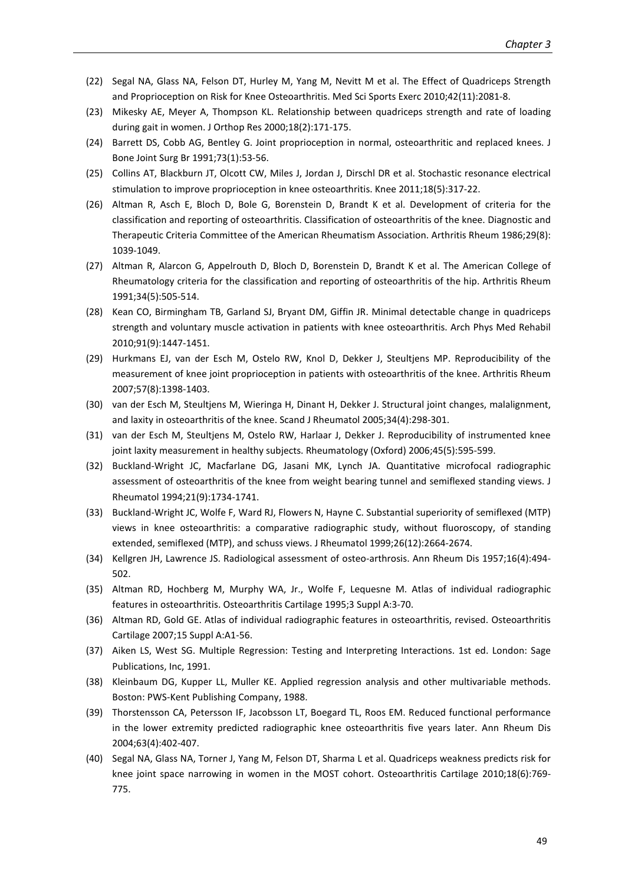- (22) Segal NA, Glass NA, Felson DT, Hurley M, Yang M, Nevitt M et al. The Effect of Quadriceps Strength and Proprioception on Risk for Knee Osteoarthritis. Med Sci Sports Exerc 2010;42(11):2081-8.
- (23) Mikesky AE, Meyer A, Thompson KL. Relationship between quadriceps strength and rate of loading during gait in women. J Orthop Res 2000;18(2):171-175.
- (24) Barrett DS, Cobb AG, Bentley G. Joint proprioception in normal, osteoarthritic and replaced knees. J Bone Joint Surg Br 1991;73(1):53-56.
- (25) Collins AT, Blackburn JT, Olcott CW, Miles J, Jordan J, Dirschl DR et al. Stochastic resonance electrical stimulation to improve proprioception in knee osteoarthritis. Knee 2011;18(5):317-22.
- (26) Altman R, Asch E, Bloch D, Bole G, Borenstein D, Brandt K et al. Development of criteria for the classification and reporting of osteoarthritis. Classification of osteoarthritis of the knee. Diagnostic and Therapeutic Criteria Committee of the American Rheumatism Association. Arthritis Rheum 1986;29(8): 1039-1049.
- (27) Altman R, Alarcon G, Appelrouth D, Bloch D, Borenstein D, Brandt K et al. The American College of Rheumatology criteria for the classification and reporting of osteoarthritis of the hip. Arthritis Rheum 1991;34(5):505-514.
- (28) Kean CO, Birmingham TB, Garland SJ, Bryant DM, Giffin JR. Minimal detectable change in quadriceps strength and voluntary muscle activation in patients with knee osteoarthritis. Arch Phys Med Rehabil 2010;91(9):1447-1451.
- (29) Hurkmans EJ, van der Esch M, Ostelo RW, Knol D, Dekker J, Steultjens MP. Reproducibility of the measurement of knee joint proprioception in patients with osteoarthritis of the knee. Arthritis Rheum 2007;57(8):1398-1403.
- (30) van der Esch M, Steultjens M, Wieringa H, Dinant H, Dekker J. Structural joint changes, malalignment, and laxity in osteoarthritis of the knee. Scand J Rheumatol 2005;34(4):298-301.
- (31) van der Esch M, Steultjens M, Ostelo RW, Harlaar J, Dekker J. Reproducibility of instrumented knee joint laxity measurement in healthy subjects. Rheumatology (Oxford) 2006;45(5):595-599.
- (32) Buckland-Wright JC, Macfarlane DG, Jasani MK, Lynch JA. Quantitative microfocal radiographic assessment of osteoarthritis of the knee from weight bearing tunnel and semiflexed standing views. J Rheumatol 1994;21(9):1734-1741.
- (33) Buckland-Wright JC, Wolfe F, Ward RJ, Flowers N, Hayne C. Substantial superiority of semiflexed (MTP) views in knee osteoarthritis: a comparative radiographic study, without fluoroscopy, of standing extended, semiflexed (MTP), and schuss views. J Rheumatol 1999;26(12):2664-2674.
- (34) Kellgren JH, Lawrence JS. Radiological assessment of osteo-arthrosis. Ann Rheum Dis 1957;16(4):494- 502.
- (35) Altman RD, Hochberg M, Murphy WA, Jr., Wolfe F, Lequesne M. Atlas of individual radiographic features in osteoarthritis. Osteoarthritis Cartilage 1995;3 Suppl A:3-70.
- (36) Altman RD, Gold GE. Atlas of individual radiographic features in osteoarthritis, revised. Osteoarthritis Cartilage 2007;15 Suppl A:A1-56.
- (37) Aiken LS, West SG. Multiple Regression: Testing and Interpreting Interactions. 1st ed. London: Sage Publications, Inc, 1991.
- (38) Kleinbaum DG, Kupper LL, Muller KE. Applied regression analysis and other multivariable methods. Boston: PWS-Kent Publishing Company, 1988.
- (39) Thorstensson CA, Petersson IF, Jacobsson LT, Boegard TL, Roos EM. Reduced functional performance in the lower extremity predicted radiographic knee osteoarthritis five years later. Ann Rheum Dis 2004;63(4):402-407.
- (40) Segal NA, Glass NA, Torner J, Yang M, Felson DT, Sharma L et al. Quadriceps weakness predicts risk for knee joint space narrowing in women in the MOST cohort. Osteoarthritis Cartilage 2010;18(6):769- 775.